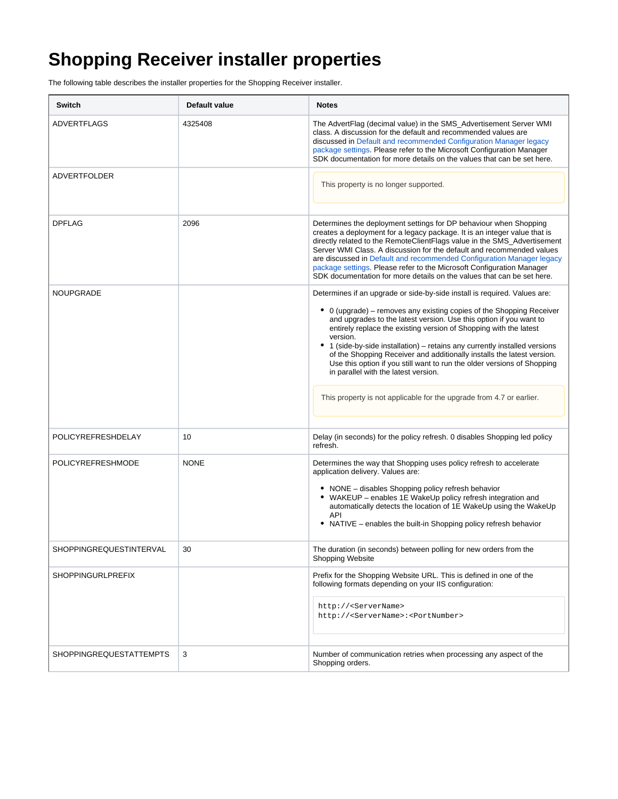## **Shopping Receiver installer properties**

The following table describes the installer properties for the Shopping Receiver installer.

| <b>Switch</b>                  | Default value | <b>Notes</b>                                                                                                                                                                                                                                                                                                                                                                                                                                                                                                                                                                                                                                                |
|--------------------------------|---------------|-------------------------------------------------------------------------------------------------------------------------------------------------------------------------------------------------------------------------------------------------------------------------------------------------------------------------------------------------------------------------------------------------------------------------------------------------------------------------------------------------------------------------------------------------------------------------------------------------------------------------------------------------------------|
| <b>ADVERTFLAGS</b>             | 4325408       | The AdvertFlag (decimal value) in the SMS_Advertisement Server WMI<br>class. A discussion for the default and recommended values are<br>discussed in Default and recommended Configuration Manager legacy<br>package settings. Please refer to the Microsoft Configuration Manager<br>SDK documentation for more details on the values that can be set here.                                                                                                                                                                                                                                                                                                |
| ADVERTFOLDER                   |               | This property is no longer supported.                                                                                                                                                                                                                                                                                                                                                                                                                                                                                                                                                                                                                       |
| <b>DPFLAG</b>                  | 2096          | Determines the deployment settings for DP behaviour when Shopping<br>creates a deployment for a legacy package. It is an integer value that is<br>directly related to the RemoteClientFlags value in the SMS_Advertisement<br>Server WMI Class. A discussion for the default and recommended values<br>are discussed in Default and recommended Configuration Manager legacy<br>package settings. Please refer to the Microsoft Configuration Manager<br>SDK documentation for more details on the values that can be set here.                                                                                                                             |
| <b>NOUPGRADE</b>               |               | Determines if an upgrade or side-by-side install is required. Values are:<br>• 0 (upgrade) – removes any existing copies of the Shopping Receiver<br>and upgrades to the latest version. Use this option if you want to<br>entirely replace the existing version of Shopping with the latest<br>version.<br>• 1 (side-by-side installation) – retains any currently installed versions<br>of the Shopping Receiver and additionally installs the latest version.<br>Use this option if you still want to run the older versions of Shopping<br>in parallel with the latest version.<br>This property is not applicable for the upgrade from 4.7 or earlier. |
| POLICYREFRESHDELAY             | 10            | Delay (in seconds) for the policy refresh. 0 disables Shopping led policy<br>refresh.                                                                                                                                                                                                                                                                                                                                                                                                                                                                                                                                                                       |
| POLICYREFRESHMODE              | <b>NONE</b>   | Determines the way that Shopping uses policy refresh to accelerate<br>application delivery. Values are:<br>• NONE - disables Shopping policy refresh behavior<br>• WAKEUP - enables 1E WakeUp policy refresh integration and<br>automatically detects the location of 1E WakeUp using the WakeUp<br><b>API</b><br>• NATIVE – enables the built-in Shopping policy refresh behavior                                                                                                                                                                                                                                                                          |
| SHOPPINGREQUESTINTERVAL        | 30            | The duration (in seconds) between polling for new orders from the<br>Shopping Website                                                                                                                                                                                                                                                                                                                                                                                                                                                                                                                                                                       |
| <b>SHOPPINGURLPREFIX</b>       |               | Prefix for the Shopping Website URL. This is defined in one of the<br>following formats depending on your IIS configuration:<br>http:// <servername><br/>http://<servername>:<portnumber></portnumber></servername></servername>                                                                                                                                                                                                                                                                                                                                                                                                                            |
| <b>SHOPPINGREQUESTATTEMPTS</b> | 3             | Number of communication retries when processing any aspect of the<br>Shopping orders.                                                                                                                                                                                                                                                                                                                                                                                                                                                                                                                                                                       |